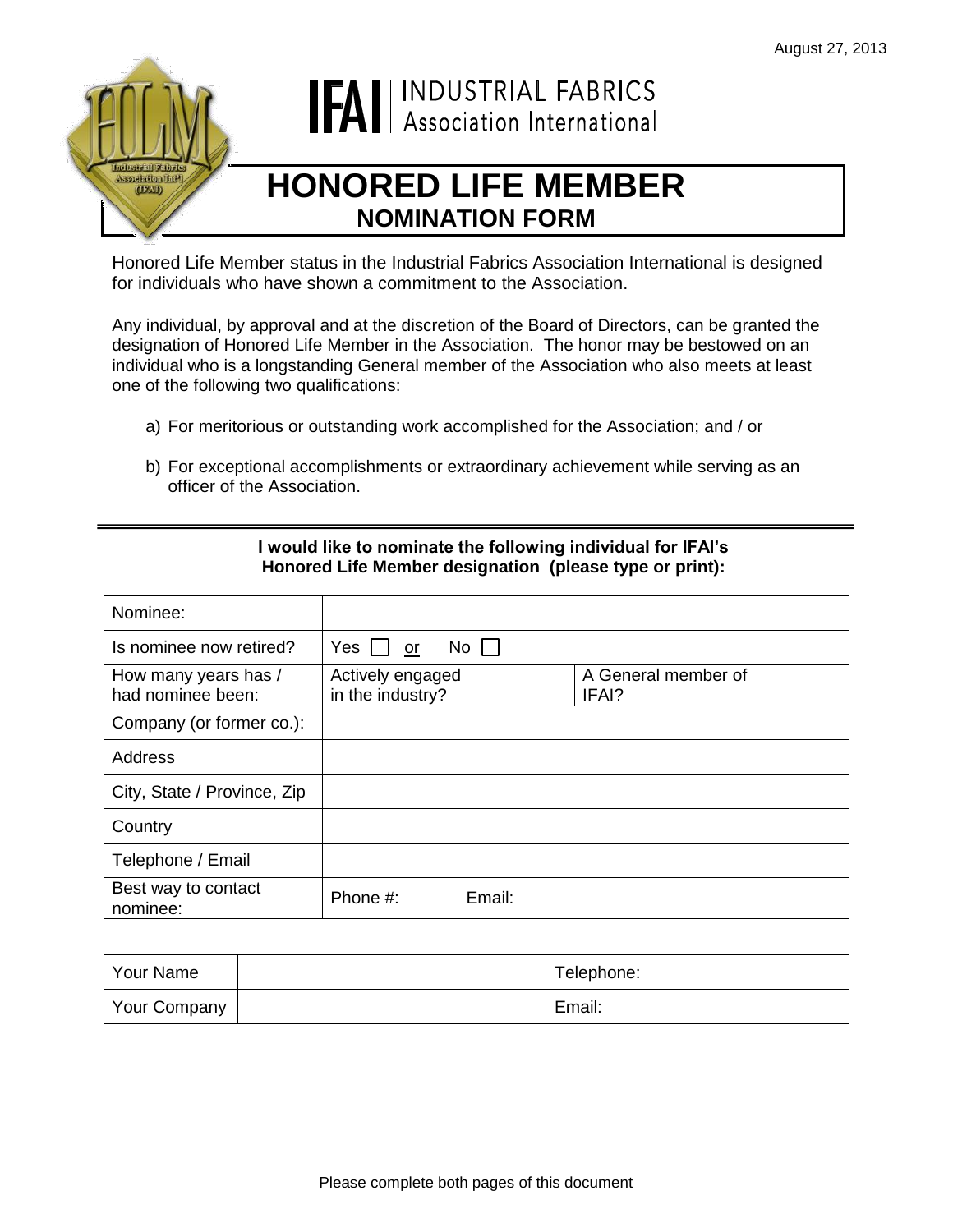

# **IFAI** | INDUSTRIAL FABRICS

# **HONORED LIFE MEMBER NOMINATION FORM**

Honored Life Member status in the Industrial Fabrics Association International is designed for individuals who have shown a commitment to the Association.

Any individual, by approval and at the discretion of the Board of Directors, can be granted the designation of Honored Life Member in the Association. The honor may be bestowed on an individual who is a longstanding General member of the Association who also meets at least one of the following two qualifications:

- a) For meritorious or outstanding work accomplished for the Association; and / or
- b) For exceptional accomplishments or extraordinary achievement while serving as an officer of the Association.

| Nominee:                                  |                                               |                 |                     |
|-------------------------------------------|-----------------------------------------------|-----------------|---------------------|
| Is nominee now retired?                   | $Yes$ $\vert$<br>or                           | No <sub>1</sub> |                     |
| How many years has /<br>had nominee been: | Actively engaged<br>in the industry?<br>IFAI? |                 | A General member of |
| Company (or former co.):                  |                                               |                 |                     |
| Address                                   |                                               |                 |                     |
| City, State / Province, Zip               |                                               |                 |                     |
| Country                                   |                                               |                 |                     |
| Telephone / Email                         |                                               |                 |                     |
| Best way to contact<br>nominee:           | Phone #:                                      | Email:          |                     |

## **I would like to nominate the following individual for IFAI's Honored Life Member designation (please type or print):**

| l Your Name  | Telephone: |  |
|--------------|------------|--|
| Your Company | Email:     |  |